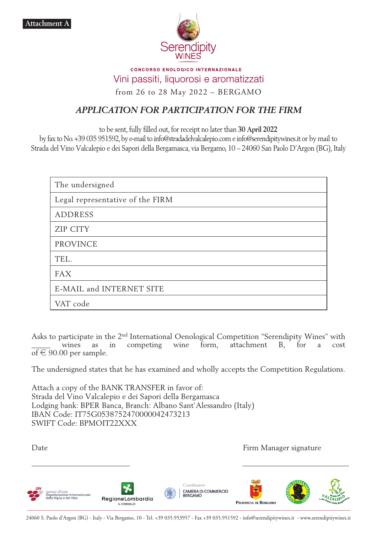

### **CONCORSO ENOLOGICO INTERNAZIONALE** Vini passiti, liquorosi e aromatizzati from 26 to 28 May 2022 – BERGAMO

# *APPLICATION FOR PARTICIPATION FOR THE FIRM*

to be sent, fully filled out, for receipt no later than **30 April 2022**

by fax to No. +39 035 951592, by e-mail to info@stradadelvalcalepio.com e info@serendipitywines.it or by mail to Strada del Vino Valcalepio e dei Sapori della Bergamasca, via Bergamo, 10 – 24060 San Paolo D'Argon (BG), Italy

| The undersigned                  |  |  |  |
|----------------------------------|--|--|--|
| Legal representative of the FIRM |  |  |  |
| <b>ADDRESS</b>                   |  |  |  |
| <b>ZIP CITY</b>                  |  |  |  |
| <b>PROVINCE</b>                  |  |  |  |
| TEL.                             |  |  |  |
| <b>FAX</b>                       |  |  |  |
| E-MAIL and INTERNET SITE         |  |  |  |
| VAT code                         |  |  |  |

Asks to participate in the 2nd International Oenological Competition "Serendipity Wines" with wines as in competing wine form, attachment B, for a cost of  $\in$  90.00 per sample.

The undersigned states that he has examined and wholly accepts the Competition Regulations.

Attach a copy of the BANK TRANSFER in favor of: Strada del Vino Valcalepio e dei Sapori della Bergamasca Lodging bank: BPER Banca, Branch: Albano Sant'Alessandro (Italy) IBAN Code: IT75G0538752470000042473213 SWIFT Code: BPMOIT22XXX

Date **Firm Manager signature**